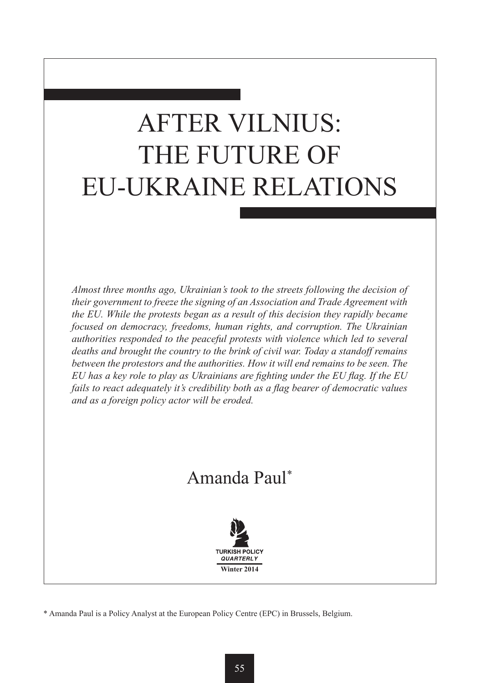# AFTER VILNIUS: THE FUTURE OF EU-UKRAINE RELATIONS

*Almost three months ago, Ukrainian's took to the streets following the decision of their government to freeze the signing of an Association and Trade Agreement with the EU. While the protests began as a result of this decision they rapidly became focused on democracy, freedoms, human rights, and corruption. The Ukrainian authorities responded to the peaceful protests with violence which led to several deaths and brought the country to the brink of civil war. Today a standoff remains between the protestors and the authorities. How it will end remains to be seen. The EU has a key role to play as Ukrainians are fighting under the EU flag. If the EU fails to react adequately it's credibility both as a flag bearer of democratic values and as a foreign policy actor will be eroded.*

## Amanda Paul\*



\* Amanda Paul is a Policy Analyst at the European Policy Centre (EPC) in Brussels, Belgium.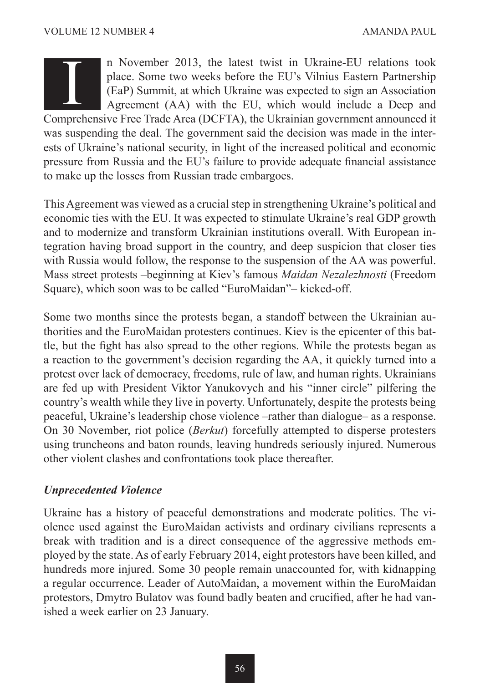n November 2013, the latest twist in Ukraine-EU relations took place. Some two weeks before the EU's Vilnius Eastern Partnership (EaP) Summit, at which Ukraine was expected to sign an Association Agreement (AA) with the EU, which would include a Deep and In November 2013, the latest twist in Ukraine-EU relations took place. Some two weeks before the EU's Vilnius Eastern Partnership (EaP) Summit, at which Ukraine was expected to sign an Association Agreement (AA) with the E

was suspending the deal. The government said the decision was made in the interests of Ukraine's national security, in light of the increased political and economic pressure from Russia and the EU's failure to provide adequate financial assistance to make up the losses from Russian trade embargoes.

This Agreement was viewed as a crucial step in strengthening Ukraine's political and economic ties with the EU. It was expected to stimulate Ukraine's real GDP growth and to modernize and transform Ukrainian institutions overall. With European integration having broad support in the country, and deep suspicion that closer ties with Russia would follow, the response to the suspension of the AA was powerful. Mass street protests –beginning at Kiev's famous *Maidan Nezalezhnosti* (Freedom Square), which soon was to be called "EuroMaidan"– kicked-off.

Some two months since the protests began, a standoff between the Ukrainian authorities and the EuroMaidan protesters continues. Kiev is the epicenter of this battle, but the fight has also spread to the other regions. While the protests began as a reaction to the government's decision regarding the AA, it quickly turned into a protest over lack of democracy, freedoms, rule of law, and human rights. Ukrainians are fed up with President Viktor Yanukovych and his "inner circle" pilfering the country's wealth while they live in poverty. Unfortunately, despite the protests being peaceful, Ukraine's leadership chose violence –rather than dialogue– as a response. On 30 November, riot police (*Berkut*) forcefully attempted to disperse protesters using truncheons and baton rounds, leaving hundreds seriously injured. Numerous other violent clashes and confrontations took place thereafter.

#### *Unprecedented Violence*

Ukraine has a history of peaceful demonstrations and moderate politics. The violence used against the EuroMaidan activists and ordinary civilians represents a break with tradition and is a direct consequence of the aggressive methods employed by the state. As of early February 2014, eight protestors have been killed, and hundreds more injured. Some 30 people remain unaccounted for, with kidnapping a regular occurrence. Leader of AutoMaidan, a movement within the EuroMaidan protestors, Dmytro Bulatov was found badly beaten and crucified, after he had vanished a week earlier on 23 January.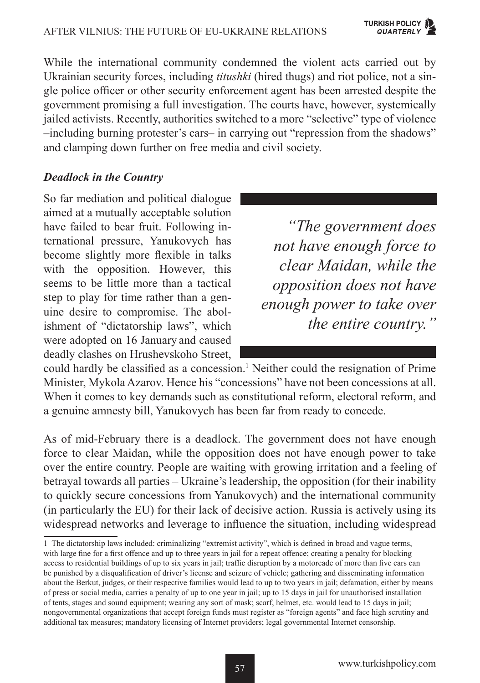While the international community condemned the violent acts carried out by Ukrainian security forces, including *titushki* (hired thugs) and riot police, not a single police officer or other security enforcement agent has been arrested despite the government promising a full investigation. The courts have, however, systemically jailed activists. Recently, authorities switched to a more "selective" type of violence –including burning protester's cars– in carrying out "repression from the shadows" and clamping down further on free media and civil society.

#### *Deadlock in the Country*

So far mediation and political dialogue aimed at a mutually acceptable solution have failed to bear fruit. Following international pressure, Yanukovych has become slightly more flexible in talks with the opposition. However, this seems to be little more than a tactical step to play for time rather than a genuine desire to compromise. The abolishment of "dictatorship laws", which were adopted on 16 January and caused deadly clashes on Hrushevskoho Street,

*"The government does not have enough force to clear Maidan, while the opposition does not have enough power to take over the entire country."*

could hardly be classified as a concession.<sup>1</sup> Neither could the resignation of Prime Minister, Mykola Azarov. Hence his "concessions" have not been concessions at all. When it comes to key demands such as constitutional reform, electoral reform, and a genuine amnesty bill, Yanukovych has been far from ready to concede.

As of mid-February there is a deadlock. The government does not have enough force to clear Maidan, while the opposition does not have enough power to take over the entire country. People are waiting with growing irritation and a feeling of betrayal towards all parties – Ukraine's leadership, the opposition (for their inability to quickly secure concessions from Yanukovych) and the international community (in particularly the EU) for their lack of decisive action. Russia is actively using its widespread networks and leverage to influence the situation, including widespread

<sup>1</sup> The dictatorship laws included: criminalizing "extremist activity", which is defined in broad and vague terms, with large fine for a first offence and up to three years in jail for a repeat offence; creating a penalty for blocking access to residential buildings of up to six years in jail; traffic disruption by a motorcade of more than five cars can be punished by a disqualification of driver's license and seizure of vehicle; gathering and disseminating information about the Berkut, judges, or their respective families would lead to up to two years in jail; defamation, either by means of press or social media, carries a penalty of up to one year in jail; up to 15 days in jail for unauthorised installation of tents, stages and sound equipment; wearing any sort of mask; scarf, helmet, etc. would lead to 15 days in jail; nongovernmental organizations that accept foreign funds must register as "foreign agents" and face high scrutiny and additional tax measures; mandatory licensing of Internet providers; legal governmental Internet censorship.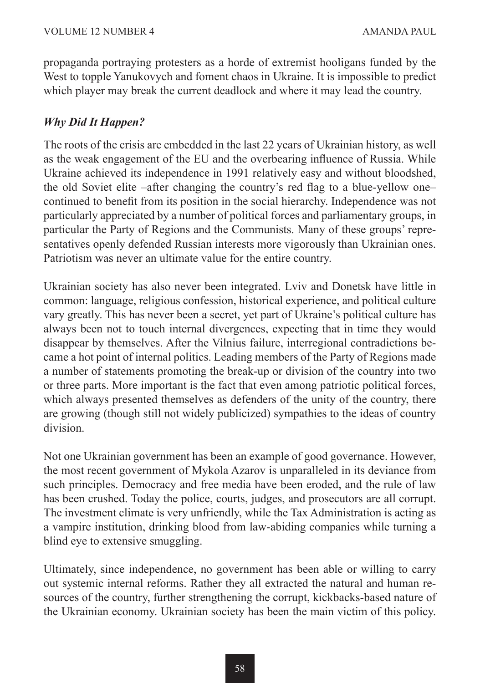propaganda portraying protesters as a horde of extremist hooligans funded by the West to topple Yanukovych and foment chaos in Ukraine. It is impossible to predict which player may break the current deadlock and where it may lead the country.

### *Why Did It Happen?*

The roots of the crisis are embedded in the last 22 years of Ukrainian history, as well as the weak engagement of the EU and the overbearing influence of Russia. While Ukraine achieved its independence in 1991 relatively easy and without bloodshed, the old Soviet elite –after changing the country's red flag to a blue-yellow one– continued to benefit from its position in the social hierarchy. Independence was not particularly appreciated by a number of political forces and parliamentary groups, in particular the Party of Regions and the Communists. Many of these groups' representatives openly defended Russian interests more vigorously than Ukrainian ones. Patriotism was never an ultimate value for the entire country.

Ukrainian society has also never been integrated. Lviv and Donetsk have little in common: language, religious confession, historical experience, and political culture vary greatly. This has never been a secret, yet part of Ukraine's political culture has always been not to touch internal divergences, expecting that in time they would disappear by themselves. After the Vilnius failure, interregional contradictions became a hot point of internal politics. Leading members of the Party of Regions made a number of statements promoting the break-up or division of the country into two or three parts. More important is the fact that even among patriotic political forces, which always presented themselves as defenders of the unity of the country, there are growing (though still not widely publicized) sympathies to the ideas of country division.

Not one Ukrainian government has been an example of good governance. However, the most recent government of Mykola Azarov is unparalleled in its deviance from such principles. Democracy and free media have been eroded, and the rule of law has been crushed. Today the police, courts, judges, and prosecutors are all corrupt. The investment climate is very unfriendly, while the Tax Administration is acting as a vampire institution, drinking blood from law-abiding companies while turning a blind eye to extensive smuggling.

Ultimately, since independence, no government has been able or willing to carry out systemic internal reforms. Rather they all extracted the natural and human resources of the country, further strengthening the corrupt, kickbacks-based nature of the Ukrainian economy. Ukrainian society has been the main victim of this policy.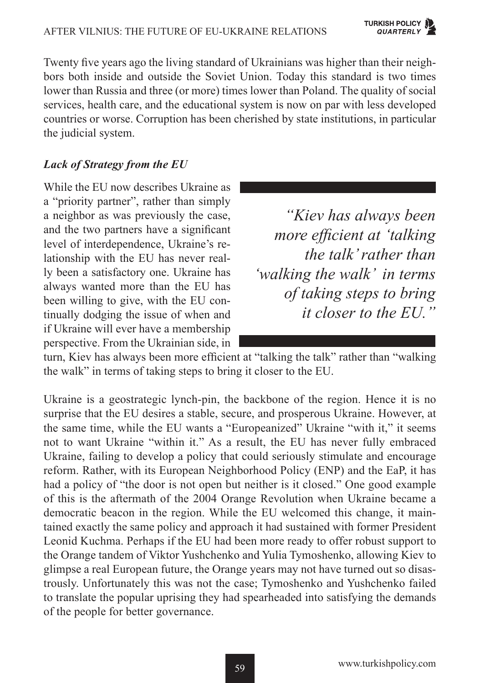Twenty five years ago the living standard of Ukrainians was higher than their neighbors both inside and outside the Soviet Union. Today this standard is two times lower than Russia and three (or more) times lower than Poland. The quality of social services, health care, and the educational system is now on par with less developed countries or worse. Corruption has been cherished by state institutions, in particular the judicial system.

#### *Lack of Strategy from the EU*

While the EU now describes Ukraine as a "priority partner", rather than simply a neighbor as was previously the case, and the two partners have a significant level of interdependence, Ukraine's relationship with the EU has never really been a satisfactory one. Ukraine has always wanted more than the EU has been willing to give, with the EU continually dodging the issue of when and if Ukraine will ever have a membership perspective. From the Ukrainian side, in

*"Kiev has always been more efficient at 'talking the talk' rather than 'walking the walk' in terms of taking steps to bring it closer to the EU."*

turn, Kiev has always been more efficient at "talking the talk" rather than "walking the walk" in terms of taking steps to bring it closer to the EU.

Ukraine is a geostrategic lynch-pin, the backbone of the region. Hence it is no surprise that the EU desires a stable, secure, and prosperous Ukraine. However, at the same time, while the EU wants a "Europeanized" Ukraine "with it," it seems not to want Ukraine "within it." As a result, the EU has never fully embraced Ukraine, failing to develop a policy that could seriously stimulate and encourage reform. Rather, with its European Neighborhood Policy (ENP) and the EaP, it has had a policy of "the door is not open but neither is it closed." One good example of this is the aftermath of the 2004 Orange Revolution when Ukraine became a democratic beacon in the region. While the EU welcomed this change, it maintained exactly the same policy and approach it had sustained with former President Leonid Kuchma. Perhaps if the EU had been more ready to offer robust support to the Orange tandem of Viktor Yushchenko and Yulia Tymoshenko, allowing Kiev to glimpse a real European future, the Orange years may not have turned out so disastrously. Unfortunately this was not the case; Tymoshenko and Yushchenko failed to translate the popular uprising they had spearheaded into satisfying the demands of the people for better governance.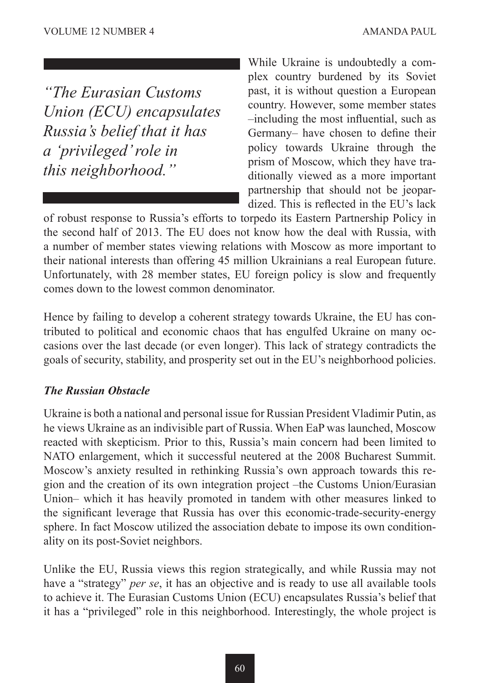*"The Eurasian Customs Union (ECU) encapsulates Russia's belief that it has a 'privileged' role in this neighborhood."*

While Ukraine is undoubtedly a complex country burdened by its Soviet past, it is without question a European country. However, some member states –including the most influential, such as Germany– have chosen to define their policy towards Ukraine through the prism of Moscow, which they have traditionally viewed as a more important partnership that should not be jeopardized. This is reflected in the EU's lack

of robust response to Russia's efforts to torpedo its Eastern Partnership Policy in the second half of 2013. The EU does not know how the deal with Russia, with a number of member states viewing relations with Moscow as more important to their national interests than offering 45 million Ukrainians a real European future. Unfortunately, with 28 member states, EU foreign policy is slow and frequently comes down to the lowest common denominator.

Hence by failing to develop a coherent strategy towards Ukraine, the EU has contributed to political and economic chaos that has engulfed Ukraine on many occasions over the last decade (or even longer). This lack of strategy contradicts the goals of security, stability, and prosperity set out in the EU's neighborhood policies.

#### *The Russian Obstacle*

Ukraine is both a national and personal issue for Russian President Vladimir Putin, as he views Ukraine as an indivisible part of Russia. When EaP was launched, Moscow reacted with skepticism. Prior to this, Russia's main concern had been limited to NATO enlargement, which it successful neutered at the 2008 Bucharest Summit. Moscow's anxiety resulted in rethinking Russia's own approach towards this region and the creation of its own integration project –the Customs Union/Eurasian Union– which it has heavily promoted in tandem with other measures linked to the significant leverage that Russia has over this economic-trade-security-energy sphere. In fact Moscow utilized the association debate to impose its own conditionality on its post-Soviet neighbors.

Unlike the EU, Russia views this region strategically, and while Russia may not have a "strategy" *per se*, it has an objective and is ready to use all available tools to achieve it. The Eurasian Customs Union (ECU) encapsulates Russia's belief that it has a "privileged" role in this neighborhood. Interestingly, the whole project is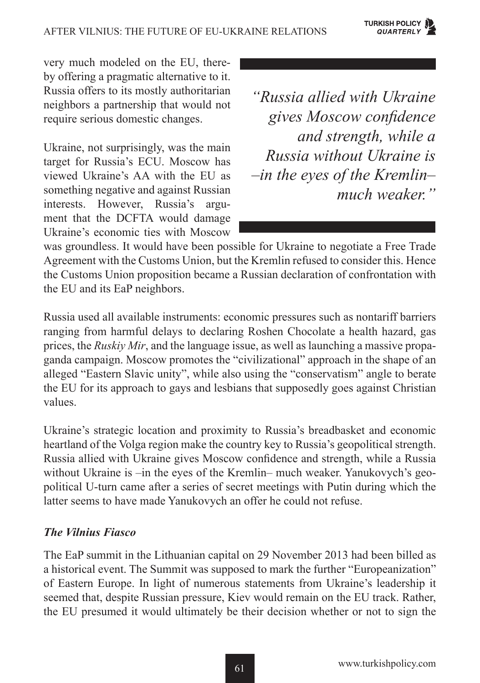very much modeled on the EU, thereby offering a pragmatic alternative to it. Russia offers to its mostly authoritarian neighbors a partnership that would not require serious domestic changes.

Ukraine, not surprisingly, was the main target for Russia's ECU. Moscow has viewed Ukraine's AA with the EU as something negative and against Russian interests. However, Russia's argument that the DCFTA would damage Ukraine's economic ties with Moscow

*"Russia allied with Ukraine gives Moscow confidence and strength, while a Russia without Ukraine is –in the eyes of the Kremlin– much weaker."*

was groundless. It would have been possible for Ukraine to negotiate a Free Trade Agreement with the Customs Union, but the Kremlin refused to consider this. Hence the Customs Union proposition became a Russian declaration of confrontation with the EU and its EaP neighbors.

Russia used all available instruments: economic pressures such as nontariff barriers ranging from harmful delays to declaring Roshen Chocolate a health hazard, gas prices, the *Ruskiy Mir*, and the language issue, as well as launching a massive propaganda campaign. Moscow promotes the "civilizational" approach in the shape of an alleged "Eastern Slavic unity", while also using the "conservatism" angle to berate the EU for its approach to gays and lesbians that supposedly goes against Christian values.

Ukraine's strategic location and proximity to Russia's breadbasket and economic heartland of the Volga region make the country key to Russia's geopolitical strength. Russia allied with Ukraine gives Moscow confidence and strength, while a Russia without Ukraine is –in the eyes of the Kremlin– much weaker. Yanukovych's geopolitical U-turn came after a series of secret meetings with Putin during which the latter seems to have made Yanukovych an offer he could not refuse.

#### *The Vilnius Fiasco*

The EaP summit in the Lithuanian capital on 29 November 2013 had been billed as a historical event. The Summit was supposed to mark the further "Europeanization" of Eastern Europe. In light of numerous statements from Ukraine's leadership it seemed that, despite Russian pressure, Kiev would remain on the EU track. Rather, the EU presumed it would ultimately be their decision whether or not to sign the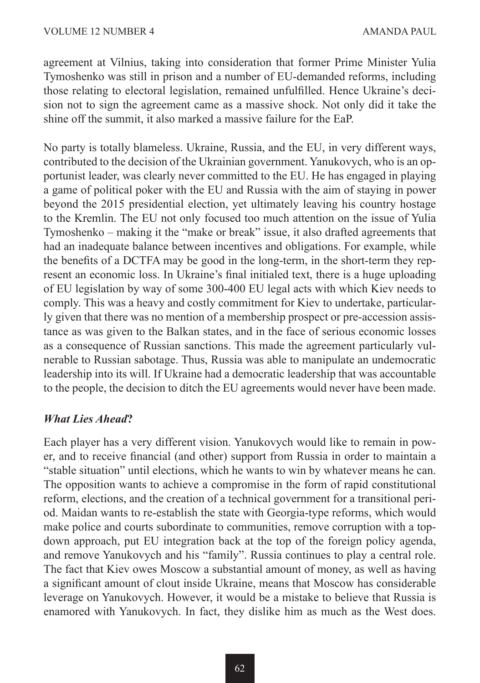agreement at Vilnius, taking into consideration that former Prime Minister Yulia Tymoshenko was still in prison and a number of EU-demanded reforms, including those relating to electoral legislation, remained unfulfilled. Hence Ukraine's decision not to sign the agreement came as a massive shock. Not only did it take the shine off the summit, it also marked a massive failure for the EaP.

No party is totally blameless. Ukraine, Russia, and the EU, in very different ways, contributed to the decision of the Ukrainian government. Yanukovych, who is an opportunist leader, was clearly never committed to the EU. He has engaged in playing a game of political poker with the EU and Russia with the aim of staying in power beyond the 2015 presidential election, yet ultimately leaving his country hostage to the Kremlin. The EU not only focused too much attention on the issue of Yulia Tymoshenko – making it the "make or break" issue, it also drafted agreements that had an inadequate balance between incentives and obligations. For example, while the benefits of a DCTFA may be good in the long-term, in the short-term they represent an economic loss. In Ukraine's final initialed text, there is a huge uploading of EU legislation by way of some 300-400 EU legal acts with which Kiev needs to comply. This was a heavy and costly commitment for Kiev to undertake, particularly given that there was no mention of a membership prospect or pre-accession assistance as was given to the Balkan states, and in the face of serious economic losses as a consequence of Russian sanctions. This made the agreement particularly vulnerable to Russian sabotage. Thus, Russia was able to manipulate an undemocratic leadership into its will. If Ukraine had a democratic leadership that was accountable to the people, the decision to ditch the EU agreements would never have been made.

#### *What Lies Ahead***?**

Each player has a very different vision. Yanukovych would like to remain in power, and to receive financial (and other) support from Russia in order to maintain a "stable situation" until elections, which he wants to win by whatever means he can. The opposition wants to achieve a compromise in the form of rapid constitutional reform, elections, and the creation of a technical government for a transitional period. Maidan wants to re-establish the state with Georgia-type reforms, which would make police and courts subordinate to communities, remove corruption with a topdown approach, put EU integration back at the top of the foreign policy agenda, and remove Yanukovych and his "family". Russia continues to play a central role. The fact that Kiev owes Moscow a substantial amount of money, as well as having a significant amount of clout inside Ukraine, means that Moscow has considerable leverage on Yanukovych. However, it would be a mistake to believe that Russia is enamored with Yanukovych. In fact, they dislike him as much as the West does.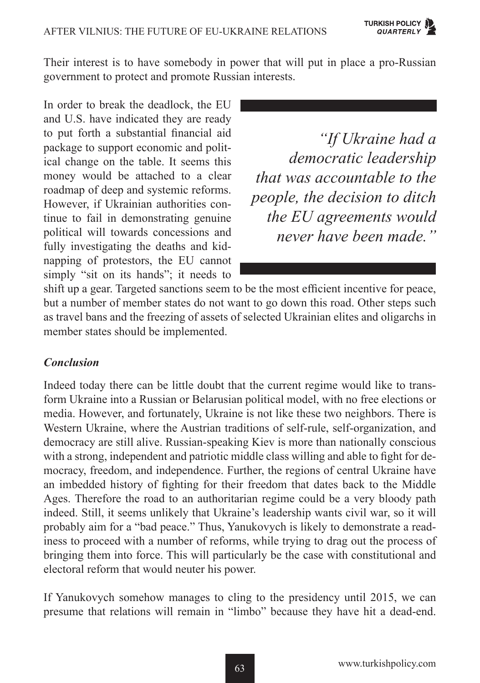Their interest is to have somebody in power that will put in place a pro-Russian government to protect and promote Russian interests.

In order to break the deadlock, the EU and U.S. have indicated they are ready to put forth a substantial financial aid package to support economic and political change on the table. It seems this money would be attached to a clear roadmap of deep and systemic reforms. However, if Ukrainian authorities continue to fail in demonstrating genuine political will towards concessions and fully investigating the deaths and kidnapping of protestors, the EU cannot simply "sit on its hands"; it needs to

*"If Ukraine had a democratic leadership that was accountable to the people, the decision to ditch the EU agreements would never have been made."*

shift up a gear. Targeted sanctions seem to be the most efficient incentive for peace, but a number of member states do not want to go down this road. Other steps such as travel bans and the freezing of assets of selected Ukrainian elites and oligarchs in member states should be implemented.

#### *Conclusion*

Indeed today there can be little doubt that the current regime would like to transform Ukraine into a Russian or Belarusian political model, with no free elections or media. However, and fortunately, Ukraine is not like these two neighbors. There is Western Ukraine, where the Austrian traditions of self-rule, self-organization, and democracy are still alive. Russian-speaking Kiev is more than nationally conscious with a strong, independent and patriotic middle class willing and able to fight for democracy, freedom, and independence. Further, the regions of central Ukraine have an imbedded history of fighting for their freedom that dates back to the Middle Ages. Therefore the road to an authoritarian regime could be a very bloody path indeed. Still, it seems unlikely that Ukraine's leadership wants civil war, so it will probably aim for a "bad peace." Thus, Yanukovych is likely to demonstrate a readiness to proceed with a number of reforms, while trying to drag out the process of bringing them into force. This will particularly be the case with constitutional and electoral reform that would neuter his power.

If Yanukovych somehow manages to cling to the presidency until 2015, we can presume that relations will remain in "limbo" because they have hit a dead-end.